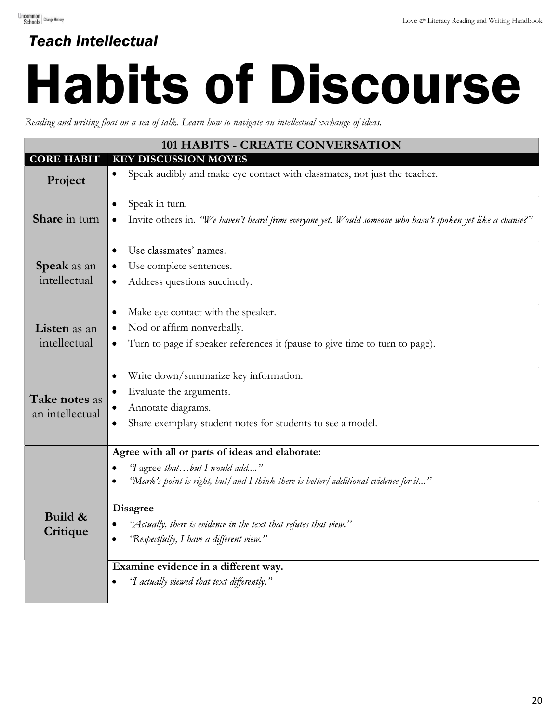## Love & Literacy Reading and Writing Handbook Teach Intellectual<br>Habits of Disc Habits of Discourse

Reading and writing float on a sea of talk. Learn how to navigate an intellectual exchange of ideas.

|                                  | 101 HABITS - CREATE CONVERSATION                                                                           |
|----------------------------------|------------------------------------------------------------------------------------------------------------|
| <b>CORE HABIT</b>                | <b>KEY DISCUSSION MOVES</b>                                                                                |
| Project                          | Speak audibly and make eye contact with classmates, not just the teacher.<br>$\bullet$                     |
| Share in turn                    | Speak in turn.<br>$\bullet$                                                                                |
|                                  | Invite others in. "We haven't heard from everyone yet. Would someone who hasn't spoken yet like a chance?" |
| Speak as an<br>intellectual      | Use classmates' names.<br>$\bullet$                                                                        |
|                                  | Use complete sentences.                                                                                    |
|                                  | Address questions succinctly.<br>$\bullet$                                                                 |
| Listen as an<br>intellectual     | Make eye contact with the speaker.<br>$\bullet$                                                            |
|                                  | Nod or affirm nonverbally.                                                                                 |
|                                  | Turn to page if speaker references it (pause to give time to turn to page).<br>٠                           |
| Take notes as<br>an intellectual | Write down/summarize key information.                                                                      |
|                                  | Evaluate the arguments.                                                                                    |
|                                  | Annotate diagrams.                                                                                         |
|                                  | Share exemplary student notes for students to see a model.                                                 |
|                                  | Agree with all or parts of ideas and elaborate:                                                            |
| Build &<br>Critique              | 'I agree thatbut I would add"<br>$\bullet$                                                                 |
|                                  | "Mark's point is right, but/ and I think there is better/ additional evidence for it"                      |
|                                  | <b>Disagree</b>                                                                                            |
|                                  | "Actually, there is evidence in the text that refutes that view."<br>$\bullet$                             |
|                                  | 'Respectfully, I have a different view."                                                                   |
|                                  | Examine evidence in a different way.                                                                       |
|                                  | 'I actually viewed that text differently."                                                                 |